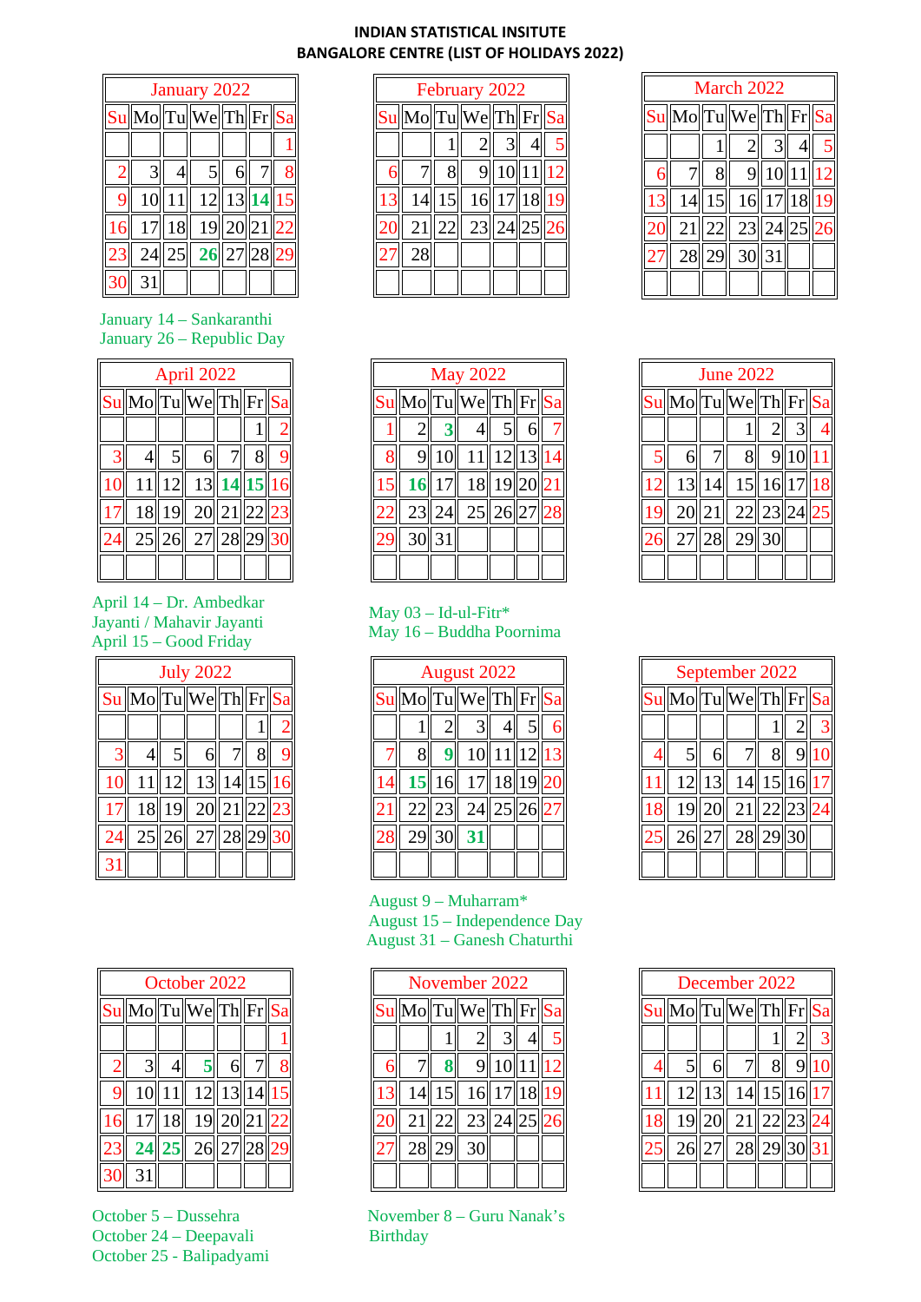## **INDIAN STATISTICAL INSITUTE BANGALORE CENTRE (LIST OF HOLIDAYS 2022)**

|   | January 2022 |  |                                                                 |  |  |  |  |  |  |
|---|--------------|--|-----------------------------------------------------------------|--|--|--|--|--|--|
|   |              |  | $\sqrt{\text{Su}}$ Mo $\text{Tu}$ We $\text{Th}$ Fr $\text{Sa}$ |  |  |  |  |  |  |
|   |              |  |                                                                 |  |  |  |  |  |  |
|   | 3            |  | 51                                                              |  |  |  |  |  |  |
| 9 |              |  | $\overline{10}\ 11\  12\ 13\ 14\ 15$                            |  |  |  |  |  |  |
|   |              |  | 17  18   19  20  21  22                                         |  |  |  |  |  |  |
|   |              |  | $24  25  $ 26 $ 27  28  29$                                     |  |  |  |  |  |  |
|   |              |  |                                                                 |  |  |  |  |  |  |

 January 14 – Sankaranthi January 26 – Republic Day

| April 2022 |  |                                                                       |  |  |  |  |  |  |
|------------|--|-----------------------------------------------------------------------|--|--|--|--|--|--|
|            |  | $\text{Sul}\text{Mo}\text{Tul}\text{Wel}\text{Th}\text{Fr}\text{Sau}$ |  |  |  |  |  |  |
|            |  |                                                                       |  |  |  |  |  |  |
|            |  | 6 <sup>1</sup>                                                        |  |  |  |  |  |  |
|            |  | 11  12  13  14  15  1                                                 |  |  |  |  |  |  |
|            |  | 18 19 20 21 22 23                                                     |  |  |  |  |  |  |
|            |  | 25  26  27  28  29  3                                                 |  |  |  |  |  |  |
|            |  |                                                                       |  |  |  |  |  |  |

April 14 – Dr. Ambedkar Jayanti / Mahavir Jayanti April 15 – Good Friday

| <b>July 2022</b> |    |                                       |    |    |  |  |  |  |
|------------------|----|---------------------------------------|----|----|--|--|--|--|
|                  |    | $\text{S} \text{u}$ Mo Tu We Th Fr Sa |    |    |  |  |  |  |
|                  |    |                                       |    |    |  |  |  |  |
|                  |    |                                       |    |    |  |  |  |  |
| 11               |    | 13                                    | 14 | 15 |  |  |  |  |
| 18               | 19 | 20  21  22  2                         |    |    |  |  |  |  |
|                  |    | 25 26 27 28 29                        |    |    |  |  |  |  |
|                  |    |                                       |    |    |  |  |  |  |

| October 2022 |       |                                                                             |  |  |  |  |  |  |
|--------------|-------|-----------------------------------------------------------------------------|--|--|--|--|--|--|
|              |       | $\sqrt{\text{Sul}}\text{Mo}$ Tu $\sqrt{\text{We}}$ Th $\text{Fr}\text{Sal}$ |  |  |  |  |  |  |
|              |       |                                                                             |  |  |  |  |  |  |
| 3            |       | $5 \mathsf{I}$                                                              |  |  |  |  |  |  |
|              | 10 11 | 12  13  14  15                                                              |  |  |  |  |  |  |
|              | 18    | 19  20  21                                                                  |  |  |  |  |  |  |
| 24           | 25    | 26  27  28                                                                  |  |  |  |  |  |  |
|              |       |                                                                             |  |  |  |  |  |  |

October 24 – Deepavali Birthday October 25 - Balipadyami

| February 2022                                                          |   |    |        |    |  |  |  |  |
|------------------------------------------------------------------------|---|----|--------|----|--|--|--|--|
| $\text{Sul}\text{Mo}\text{Trul}\text{Wel}\text{Th}\text{Fr}\text{Sal}$ |   |    |        |    |  |  |  |  |
|                                                                        |   |    |        |    |  |  |  |  |
|                                                                        |   | 91 | 10  11 |    |  |  |  |  |
| 14                                                                     | 5 | 16 | 17     | 18 |  |  |  |  |
| 21                                                                     |   | 23 |        |    |  |  |  |  |
| 28                                                                     |   |    |        |    |  |  |  |  |
|                                                                        |   |    |        |    |  |  |  |  |

| March 2022                                                             |  |                            |         |  |  |  |  |  |
|------------------------------------------------------------------------|--|----------------------------|---------|--|--|--|--|--|
| $\text{Sul}\text{Mo}\text{Trul}\text{Wel}\text{Th}\text{Fr}\text{Sal}$ |  |                            |         |  |  |  |  |  |
|                                                                        |  |                            |         |  |  |  |  |  |
|                                                                        |  |                            | 9 10 11 |  |  |  |  |  |
|                                                                        |  | $14$   15   16  17  18  19 |         |  |  |  |  |  |
|                                                                        |  | 21  22  23  24             |         |  |  |  |  |  |
|                                                                        |  | 28  29  30  31             |         |  |  |  |  |  |
|                                                                        |  |                            |         |  |  |  |  |  |

|    | <b>May 2022</b>                             |        |                        |              |   |  |  |  |  |
|----|---------------------------------------------|--------|------------------------|--------------|---|--|--|--|--|
|    | $\sqrt{\text{Sul}}\text{Mo}$ Tu We Th Fr Sa |        |                        |              |   |  |  |  |  |
|    | $\overline{2}$                              |        |                        | $5\parallel$ | 6 |  |  |  |  |
| 8  |                                             |        | 9  10   11  12  13  14 |              |   |  |  |  |  |
| 15 |                                             |        | $16$ 17 18 19 20 21    |              |   |  |  |  |  |
|    |                                             | 23  24 | 25  26  27  28         |              |   |  |  |  |  |
|    |                                             | 30 31  |                        |              |   |  |  |  |  |
|    |                                             |        |                        |              |   |  |  |  |  |

## May  $03 - Id$ -ul-Fitr\* May 16 – Buddha Poornima

| August 2022 |    |             |    |  |  |  |  |  |
|-------------|----|-------------|----|--|--|--|--|--|
| $Su$ Mo Tu  |    | We Th Fr Sa |    |  |  |  |  |  |
|             |    |             |    |  |  |  |  |  |
|             |    |             |    |  |  |  |  |  |
|             | 16 | 17          | 18 |  |  |  |  |  |
| 22          |    | 24          |    |  |  |  |  |  |
| 29 3        |    |             |    |  |  |  |  |  |
|             |    |             |    |  |  |  |  |  |

## August 9 – Muharram\* August 15 – Independence Day August 31 – Ganesh Chaturthi

| November 2022                                                          |       |                             |           |    |  |  |  |  |
|------------------------------------------------------------------------|-------|-----------------------------|-----------|----|--|--|--|--|
| $\text{Sul}\text{Mo}\text{Trul}\text{Wel}\text{Th}\text{Fr}\text{Sal}$ |       |                             |           |    |  |  |  |  |
|                                                                        |       | 2 <sub>l</sub>              |           |    |  |  |  |  |
|                                                                        |       |                             | 9  10  11 |    |  |  |  |  |
|                                                                        |       | $14$    15   16   17  18  1 |           |    |  |  |  |  |
|                                                                        |       | 21  22  23  24              |           | 25 |  |  |  |  |
|                                                                        | 28 29 | 30                          |           |    |  |  |  |  |
|                                                                        |       |                             |           |    |  |  |  |  |

October 5 – Dussehra November 8 – Guru Nanak's

| <b>June 2022</b> |        |                                |                |      |  |  |  |  |
|------------------|--------|--------------------------------|----------------|------|--|--|--|--|
|                  |        | $\text{S}$ u Mo Tu We Th Fr Sa |                |      |  |  |  |  |
|                  |        |                                | $\overline{2}$ |      |  |  |  |  |
|                  |        | 8                              |                | 9 10 |  |  |  |  |
|                  | 13  14 | 15  16  17  18                 |                |      |  |  |  |  |
|                  |        | 20  21  22  23  24             |                |      |  |  |  |  |
|                  |        | 27 28 29 30                    |                |      |  |  |  |  |
|                  |        |                                |                |      |  |  |  |  |

| September 2022                |  |                         |                  |  |  |  |  |  |
|-------------------------------|--|-------------------------|------------------|--|--|--|--|--|
| $\text{SulMolTulWelTh}$ Fr Sa |  |                         |                  |  |  |  |  |  |
|                               |  |                         |                  |  |  |  |  |  |
| 51                            |  | 7 <sup>  </sup>         | $\left 8\right $ |  |  |  |  |  |
|                               |  | 12  13   14  15  16  17 |                  |  |  |  |  |  |
|                               |  | 19  20   21  22  23     |                  |  |  |  |  |  |
|                               |  | 26 27 28 29 30          |                  |  |  |  |  |  |
|                               |  |                         |                  |  |  |  |  |  |

| December 2022  |  |                                       |                |                |  |  |  |  |
|----------------|--|---------------------------------------|----------------|----------------|--|--|--|--|
|                |  | $\boxed{\text{Su}}$ Mo Tu We Th Fr Sa |                |                |  |  |  |  |
|                |  |                                       |                | $\mathbf{2}$ l |  |  |  |  |
| 5 <sup>1</sup> |  | 7 <sup>  </sup>                       | 8 <sup>1</sup> | 9 1            |  |  |  |  |
|                |  | 12  13   14  15  16  17               |                |                |  |  |  |  |
|                |  | $19  20  $ 21 $  22  23  24$          |                |                |  |  |  |  |
|                |  | $\sqrt{26 27 }$ 28 $\ 29\ 30\ 31$     |                |                |  |  |  |  |
|                |  |                                       |                |                |  |  |  |  |